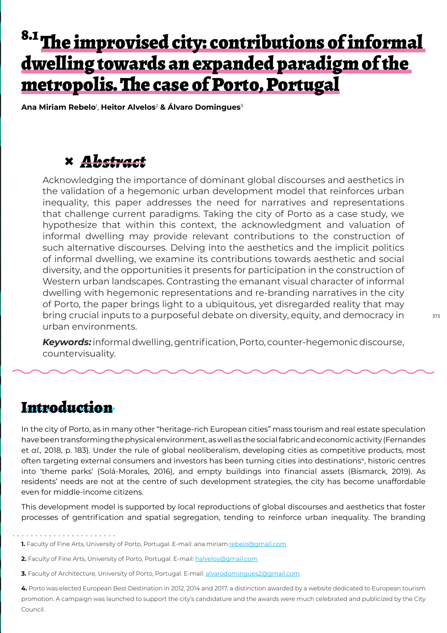# <sup>8.1</sup> The improvised city: contributions of informal dwelling towards an expanded paradigm of the metropolis. The case of Porto, Portugal

**Ana Miriam Rebelo**<sup>1</sup> , **Heitor Alvelos**<sup>2</sup> **& Álvaro Domingues**<sup>3</sup>

## **×** *Abstract*

Acknowledging the importance of dominant global discourses and aesthetics in the validation of a hegemonic urban development model that reinforces urban inequality, this paper addresses the need for narratives and representations that challenge current paradigms. Taking the city of Porto as a case study, we hypothesize that within this context, the acknowledgment and valuation of informal dwelling may provide relevant contributions to the construction of such alternative discourses. Delving into the aesthetics and the implicit politics of informal dwelling, we examine its contributions towards aesthetic and social diversity, and the opportunities it presents for participation in the construction of Western urban landscapes. Contrasting the emanant visual character of informal dwelling with hegemonic representations and re-branding narratives in the city of Porto, the paper brings light to a ubiquitous, yet disregarded reality that may bring crucial inputs to a purposeful debate on diversity, equity, and democracy in urban environments.

*Keywords:* informal dwelling, gentrification, Porto, counter-hegemonic discourse, countervisuality.

### Introduction

In the city of Porto, as in many other "heritage-rich European cities" mass tourism and real estate speculation have been transforming the physical environment, as well as the social fabric and economic activity (Fernandes et *al.,* 2018, p. 183). Under the rule of global neoliberalism, developing cities as competitive products, most often targeting external consumers and investors has been turning cities into destinations<sup>4</sup>, historic centres into 'theme parks' (Solá-Morales, 2016), and empty buildings into financial assets (Bismarck, 2019). As residents' needs are not at the centre of such development strategies, the city has become unaffordable even for middle-income citizens.

This development model is supported by local reproductions of global discourses and aesthetics that foster processes of gentrification and spatial segregation, tending to reinforce urban inequality. The branding

**3.** Faculty of Architecture, University of Porto, Portugal. E-mail: alvarodomingues2@gmail.com

**4.** Porto was elected European Best Destination in 2012, 2014 and 2017, a distinction awarded by a website dedicated to European tourism promotion. A campaign was launched to support the city's candidature and the awards were much celebrated and publicized by the City Council.

<sup>1.</sup> Faculty of Fine Arts, University of Porto, Portugal. E-mail: ana.miriam.rebelo@gmail.com

<sup>2.</sup> Faculty of Fine Arts, University of Porto, Portugal. E-mail: halvelos@gmail.com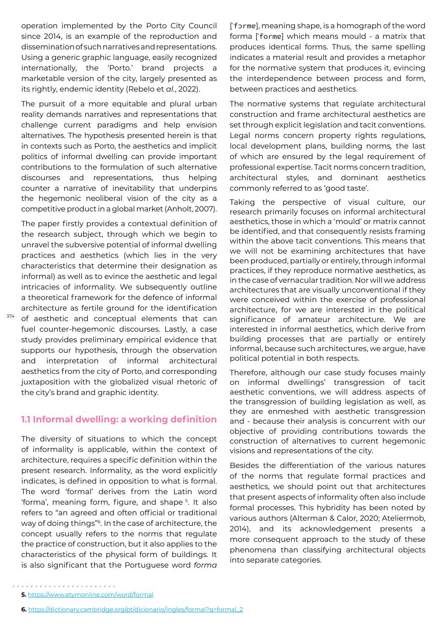operation implemented by the Porto City Council since 2014, is an example of the reproduction and dissemination of such narratives and representations. Using a generic graphic language, easily recognized internationally, the 'Porto.' brand projects a marketable version of the city, largely presented as its rightly, endemic identity (Rebelo et *al.*, 2022).

The pursuit of a more equitable and plural urban reality demands narratives and representations that challenge current paradigms and help envision alternatives. The hypothesis presented herein is that in contexts such as Porto, the aesthetics and implicit politics of informal dwelling can provide important contributions to the formulation of such alternative discourses and representations, thus helping counter a narrative of inevitability that underpins the hegemonic neoliberal vision of the city as a competitive product in a global market (Anholt, 2007).

The paper firstly provides a contextual definition of the research subject, through which we begin to unravel the subversive potential of informal dwelling practices and aesthetics (which lies in the very characteristics that determine their designation as informal) as well as to evince the aesthetic and legal intricacies of informality. We subsequently outline a theoretical framework for the defence of informal architecture as fertile ground for the identification of aesthetic and conceptual elements that can fuel counter-hegemonic discourses. Lastly, a case study provides preliminary empirical evidence that supports our hypothesis, through the observation and interpretation of informal architectural aesthetics from the city of Porto, and corresponding juxtaposition with the globalized visual rhetoric of the city's brand and graphic identity.

#### **1.1 Informal dwelling: a working definition**

The diversity of situations to which the concept of informality is applicable, within the context of architecture, requires a specific definition within the present research. Informality, as the word explicitly indicates, is defined in opposition to what is formal. The word 'formal' derives from the Latin word 'forma', meaning form, figure, and shape <sup>5</sup> . It also refers to "an agreed and often official or traditional way of doing things"6. In the case of architecture, the concept usually refers to the norms that regulate the practice of construction, but it also applies to the characteristics of the physical form of buildings. It is also significant that the Portuguese word *forma*  [ˈfɔrmɐ], meaning shape, is a homograph of the word forma [ˈformɐ] which means mould - a matrix that produces identical forms. Thus, the same spelling indicates a material result and provides a metaphor for the normative system that produces it, evincing the interdependence between process and form, between practices and aesthetics.

The normative systems that regulate architectural construction and frame architectural aesthetics are set through explicit legislation and tacit conventions. Legal norms concern property rights regulations, local development plans, building norms*,* the last of which are ensured by the legal requirement of professional expertise. Tacit norms concern tradition, architectural styles, and dominant aesthetics commonly referred to as 'good taste'.

Taking the perspective of visual culture, our research primarily focuses on informal architectural aesthetics, those in which a 'mould' or matrix cannot be identified, and that consequently resists framing within the above tacit conventions. This means that we will not be examining architectures that have been produced, partially or entirely, through informal practices, if they reproduce normative aesthetics, as in the case of vernacular tradition. Nor will we address architectures that are visually unconventional if they were conceived within the exercise of professional architecture, for we are interested in the political significance of amateur architecture. We are interested in informal aesthetics, which derive from building processes that are partially or entirely informal, because such architectures, we argue, have political potential in both respects.

Therefore, although our case study focuses mainly on informal dwellings' transgression of tacit aesthetic conventions, we will address aspects of the transgression of building legislation as well, as they are enmeshed with aesthetic transgression and - because their analysis is concurrent with our objective of providing contributions towards the construction of alternatives to current hegemonic visions and representations of the city.

Besides the differentiation of the various natures of the norms that regulate formal practices and aesthetics, we should point out that architectures that present aspects of informality often also include formal processes. This hybridity has been noted by various authors (Alterman & Calor, 2020; Ateliermob, 2014), and its acknowledgement presents a more consequent approach to the study of these phenomena than classifying architectural objects into separate categories.

**<sup>5.</sup>** https://www.etymonline.com/word/formal

**<sup>6.</sup>** https://dictionary.cambridge.org/pt/dicionario/ingles/formal?q=formal\_2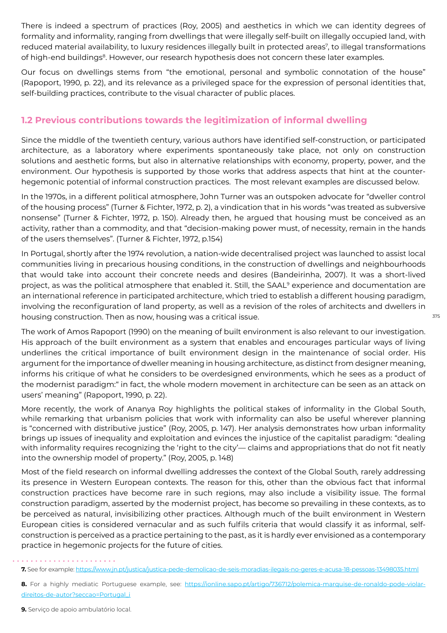There is indeed a spectrum of practices (Roy, 2005) and aesthetics in which we can identity degrees of formality and informality, ranging from dwellings that were illegally self-built on illegally occupied land, with reduced material availability, to luxury residences illegally built in protected areas<sup>7</sup>, to illegal transformations of high-end buildings<sup>8</sup>. However, our research hypothesis does not concern these later examples.

Our focus on dwellings stems from "the emotional, personal and symbolic connotation of the house" (Rapoport, 1990, p. 22), and its relevance as a privileged space for the expression of personal identities that, self-building practices, contribute to the visual character of public places.

### **1.2 Previous contributions towards the legitimization of informal dwelling**

Since the middle of the twentieth century, various authors have identified self-construction, or participated architecture, as a laboratory where experiments spontaneously take place, not only on construction solutions and aesthetic forms, but also in alternative relationships with economy, property, power, and the environment. Our hypothesis is supported by those works that address aspects that hint at the counterhegemonic potential of informal construction practices. The most relevant examples are discussed below.

In the 1970s, in a different political atmosphere, John Turner was an outspoken advocate for "dweller control of the housing process" (Turner & Fichter, 1972, p. 2), a vindication that in his words "was treated as subversive nonsense" (Turner & Fichter, 1972, p. 150). Already then, he argued that housing must be conceived as an activity, rather than a commodity, and that "decision-making power must, of necessity, remain in the hands of the users themselves". (Turner & Fichter, 1972, p.154)

In Portugal, shortly after the 1974 revolution, a nation-wide decentralised project was launched to assist local communities living in precarious housing conditions, in the construction of dwellings and neighbourhoods that would take into account their concrete needs and desires (Bandeirinha, 2007). It was a short-lived project, as was the political atmosphere that enabled it. Still, the SAAL<sup>9</sup> experience and documentation are an international reference in participated architecture, which tried to establish a different housing paradigm, involving the reconfiguration of land property, as well as a revision of the roles of architects and dwellers in housing construction. Then as now, housing was a critical issue.

375

The work of Amos Rapoport (1990) on the meaning of built environment is also relevant to our investigation. His approach of the built environment as a system that enables and encourages particular ways of living underlines the critical importance of built environment design in the maintenance of social order. His argument for the importance of dweller meaning in housing architecture, as distinct from designer meaning, informs his critique of what he considers to be overdesigned environments, which he sees as a product of the modernist paradigm:" in fact, the whole modern movement in architecture can be seen as an attack on users' meaning" (Rapoport, 1990, p. 22).

More recently, the work of Ananya Roy highlights the political stakes of informality in the Global South, while remarking that urbanism policies that work with informality can also be useful wherever planning is "concerned with distributive justice" (Roy, 2005, p. 147). Her analysis demonstrates how urban informality brings up issues of inequality and exploitation and evinces the injustice of the capitalist paradigm: "dealing with informality requires recognizing the 'right to the city'— claims and appropriations that do not fit neatly into the ownership model of property." (Roy, 2005, p. 148)

Most of the field research on informal dwelling addresses the context of the Global South*,* rarely addressing its presence in Western European contexts. The reason for this, other than the obvious fact that informal construction practices have become rare in such regions, may also include a visibility issue. The formal construction paradigm, asserted by the modernist project, has become so prevailing in these contexts, as to be perceived as natural, invisibilizing other practices. Although much of the built environment in Western European cities is considered vernacular and as such fulfils criteria that would classify it as informal, selfconstruction is perceived as a practice pertaining to the past, as it is hardly ever envisioned as a contemporary practice in hegemonic projects for the future of cities.

**9.** Serviço de apoio ambulatório local.

**<sup>7.</sup>** See for example: https://www.jn.pt/justica/justica-pede-demolicao-de-seis-moradias-ilegais-no-geres-e-acusa-18-pessoas-13498035.html

<sup>8.</sup> For a highly mediatic Portuguese example, see: https://ionline.sapo.pt/artigo/736712/polemica-marquise-de-ronaldo-pode-violardireitos-de-autor?seccao=Portugal\_i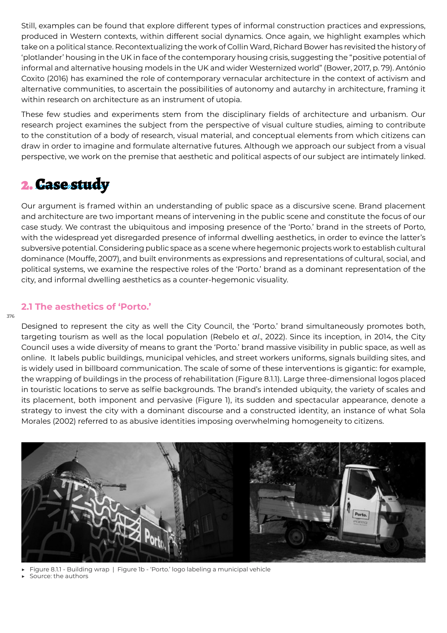Still, examples can be found that explore different types of informal construction practices and expressions, produced in Western contexts, within different social dynamics. Once again, we highlight examples which take on a political stance. Recontextualizing the work of Collin Ward, Richard Bower has revisited the history of 'plotlander' housing in the UK in face of the contemporary housing crisis, suggesting the "positive potential of informal and alternative housing models in the UK and wider Westernized world" (Bower, 2017, p. 79). António Coxito (2016) has examined the role of contemporary vernacular architecture in the context of activism and alternative communities, to ascertain the possibilities of autonomy and autarchy in architecture, framing it within research on architecture as an instrument of utopia.

These few studies and experiments stem from the disciplinary fields of architecture and urbanism. Our research project examines the subject from the perspective of visual culture studies, aiming to contribute to the constitution of a body of research, visual material, and conceptual elements from which citizens can draw in order to imagine and formulate alternative futures. Although we approach our subject from a visual perspective, we work on the premise that aesthetic and political aspects of our subject are intimately linked.

## 2. Case study

Our argument is framed within an understanding of public space as a discursive scene. Brand placement and architecture are two important means of intervening in the public scene and constitute the focus of our case study. We contrast the ubiquitous and imposing presence of the 'Porto.' brand in the streets of Porto, with the widespread yet disregarded presence of informal dwelling aesthetics, in order to evince the latter's subversive potential. Considering public space as a scene where hegemonic projects work to establish cultural dominance (Mouffe, 2007), and built environments as expressions and representations of cultural, social, and political systems, we examine the respective roles of the 'Porto.' brand as a dominant representation of the city, and informal dwelling aesthetics as a counter-hegemonic visuality.

#### **2.1 The aesthetics of 'Porto.'**

#### 376

Designed to represent the city as well the City Council, the 'Porto.' brand simultaneously promotes both, targeting tourism as well as the local population (Rebelo et *al*., 2022). Since its inception, in 2014, the City Council uses a wide diversity of means to grant the 'Porto.' brand massive visibility in public space, as well as online. It labels public buildings, municipal vehicles, and street workers uniforms, signals building sites, and is widely used in billboard communication. The scale of some of these interventions is gigantic: for example, the wrapping of buildings in the process of rehabilitation (Figure 8.1.1). Large three-dimensional logos placed in touristic locations to serve as selfie backgrounds. The brand's intended ubiquity, the variety of scales and its placement, both imponent and pervasive (Figure 1), its sudden and spectacular appearance, denote a strategy to invest the city with a dominant discourse and a constructed identity, an instance of what Sola Morales (2002) referred to as abusive identities imposing overwhelming homogeneity to citizens.



Figure 8.1.1 - Building wrap | Figure 1b - 'Porto.' logo labeling a municipal vehicle

Source: the authors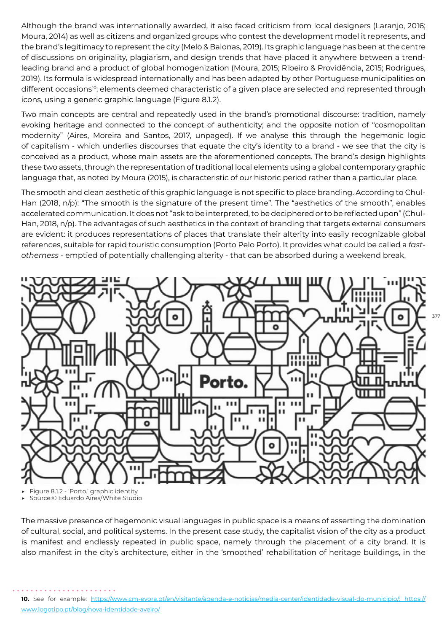Although the brand was internationally awarded, it also faced criticism from local designers (Laranjo, 2016; Moura, 2014) as well as citizens and organized groups who contest the development model it represents, and the brand's legitimacy to represent the city (Melo & Balonas, 2019). Its graphic language has been at the centre of discussions on originality, plagiarism, and design trends that have placed it anywhere between a trendleading brand and a product of global homogenization (Moura, 2015; Ribeiro & Providência, 2015; Rodrigues, 2019). Its formula is widespread internationally and has been adapted by other Portuguese municipalities on different occasions<sup>10</sup>: elements deemed characteristic of a given place are selected and represented through icons, using a generic graphic language (Figure 8.1.2).

Two main concepts are central and repeatedly used in the brand's promotional discourse: tradition, namely evoking heritage and connected to the concept of authenticity; and the opposite notion of "cosmopolitan modernity" (Aires, Moreira and Santos, 2017, unpaged). If we analyse this through the hegemonic logic of capitalism - which underlies discourses that equate the city's identity to a brand - we see that the city is conceived as a product, whose main assets are the aforementioned concepts. The brand's design highlights these two assets, through the representation of traditional local elements using a global contemporary graphic language that, as noted by Moura (2015), is characteristic of our historic period rather than a particular place.

The smooth and clean aesthetic of this graphic language is not specific to place branding. According to Chul-Han (2018, n/p): "The smooth is the signature of the present time". The "aesthetics of the smooth", enables accelerated communication. It does not "ask to be interpreted, to be deciphered or to be reflected upon" (Chul-Han, 2018, n/p). The advantages of such aesthetics in the context of branding that targets external consumers are evident: it produces representations of places that translate their alterity into easily recognizable global references, suitable for rapid touristic consumption (Porto Pelo Porto). It provides what could be called a *fastotherness -* emptied of potentially challenging alterity - that can be absorbed during a weekend break.



377

Source:© Eduardo Aires/White Studio

The massive presence of hegemonic visual languages in public space is a means of asserting the domination of cultural, social, and political systems. In the present case study, the capitalist vision of the city as a product is manifest and endlessly repeated in public space, namely through the placement of a city brand. It is also manifest in the city's architecture, either in the 'smoothed' rehabilitation of heritage buildings, in the

**10.** See for example: https://www.cm-evora.pt/en/visitante/agenda-e-noticias/media-center/identidade-visual-do-municipio/; https:// www.logotipo.pt/blog/nova-identidade-aveiro/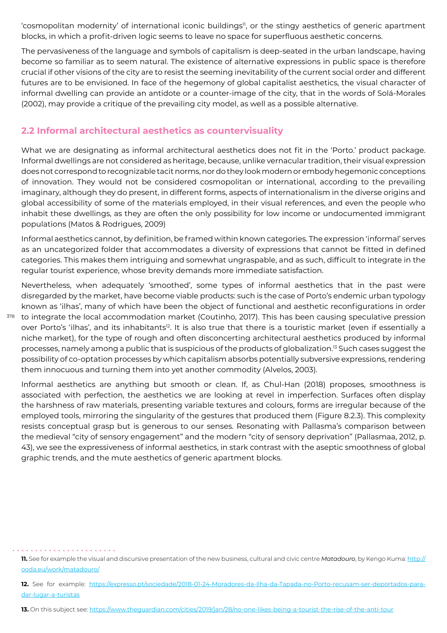'cosmopolitan modernity' of international iconic buildings<sup>11</sup>, or the stingy aesthetics of generic apartment blocks, in which a profit-driven logic seems to leave no space for superfluous aesthetic concerns.

The pervasiveness of the language and symbols of capitalism is deep-seated in the urban landscape, having become so familiar as to seem natural. The existence of alternative expressions in public space is therefore crucial if other visions of the city are to resist the seeming inevitability of the current social order and different futures are to be envisioned. In face of the hegemony of global capitalist aesthetics, the visual character of informal dwelling can provide an antidote or a counter-image of the city, that in the words of Solá-Morales (2002), may provide a critique of the prevailing city model, as well as a possible alternative.

#### **2.2 Informal architectural aesthetics as countervisuality**

What we are designating as informal architectural aesthetics does not fit in the 'Porto.' product package. Informal dwellings are not considered as heritage, because, unlike vernacular tradition, their visual expression does not correspond to recognizable tacit norms, nor do they look modern or embody hegemonic conceptions of innovation. They would not be considered cosmopolitan or international, according to the prevailing imaginary, although they do present, in different forms, aspects of internationalism in the diverse origins and global accessibility of some of the materials employed, in their visual references, and even the people who inhabit these dwellings, as they are often the only possibility for low income or undocumented immigrant populations (Matos & Rodrigues, 2009)

Informal aesthetics cannot, by definition, be framed within known categories. The expression 'informal' serves as an uncategorized folder that accommodates a diversity of expressions that cannot be fitted in defined categories. This makes them intriguing and somewhat ungraspable, and as such, difficult to integrate in the regular tourist experience, whose brevity demands more immediate satisfaction.

378 Nevertheless, when adequately 'smoothed', some types of informal aesthetics that in the past were disregarded by the market, have become viable products: such is the case of Porto's endemic urban typology known as 'ilhas', many of which have been the object of functional and aesthetic reconfigurations in order to integrate the local accommodation market (Coutinho, 2017). This has been causing speculative pression over Porto's 'ilhas', and its inhabitants<sup>12</sup>. It is also true that there is a touristic market (even if essentially a niche market), for the type of rough and often disconcerting architectural aesthetics produced by informal processes, namely among a public that is suspicious of the products of globalization.13 Such cases suggest the possibility of co-optation processes by which capitalism absorbs potentially subversive expressions, rendering them innocuous and turning them into yet another commodity (Alvelos, 2003).

Informal aesthetics are anything but smooth or clean. If, as Chul-Han (2018) proposes, smoothness is associated with perfection, the aesthetics we are looking at revel in imperfection. Surfaces often display the harshness of raw materials, presenting variable textures and colours, forms are irregular because of the employed tools, mirroring the singularity of the gestures that produced them (Figure 8.2.3). This complexity resists conceptual grasp but is generous to our senses. Resonating with Pallasma's comparison between the medieval "city of sensory engagement" and the modern "city of sensory deprivation" (Pallasmaa, 2012, p. 43), we see the expressiveness of informal aesthetics, in stark contrast with the aseptic smoothness of global graphic trends, and the mute aesthetics of generic apartment blocks.

**<sup>11.</sup>** See for example the visual and discursive presentation of the new business, cultural and civic centre *Matadouro*, by Kengo Kuma: http:// ooda.eu/work/matadouro/

**<sup>12.</sup>** See for example: https://expresso.pt/sociedade/2018-01-24-Moradores-da-Ilha-da-Tapada-no-Porto-recusam-ser-deportados-paradar-lugar-a-turistas

<sup>13.</sup> On this subject see: https://www.theguardian.com/cities/2019/jan/28/no-one-likes-being-a-tourist-the-rise-of-the-anti-tour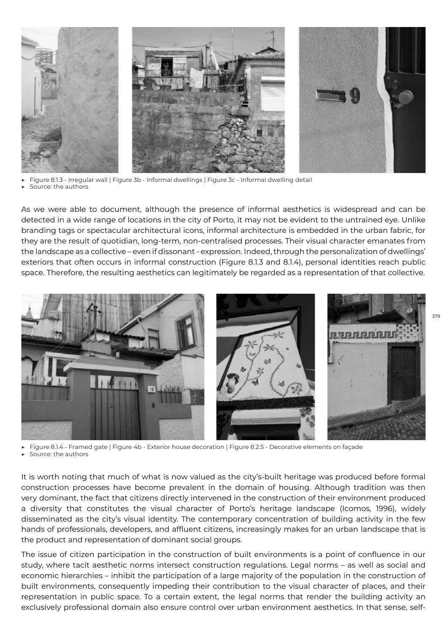

Figure 8.1.3 - Irregular wall | Figure 3b - Informal dwellings | Figure 3c - Informal dwelling detail

Source: the authors

As we were able to document, although the presence of informal aesthetics is widespread and can be detected in a wide range of locations in the city of Porto, it may not be evident to the untrained eye. Unlike branding tags or spectacular architectural icons, informal architecture is embedded in the urban fabric, for they are the result of quotidian, long-term, non-centralised processes. Their visual character emanates from the landscape as a collective – even if dissonant - expression. Indeed, through the personalization of dwellings' exteriors that often occurs in informal construction (Figure 8.1.3 and 8.1.4), personal identities reach public space. Therefore, the resulting aesthetics can legitimately be regarded as a representation of that collective.



Figure 8.1.4 - Framed gate | Figure 4b - Exterior house decoration | Figure 8.2.5 - Decorative elements on façade

Source: the authors

It is worth noting that much of what is now valued as the city's-built heritage was produced before formal construction processes have become prevalent in the domain of housing. Although tradition was then very dominant, the fact that citizens directly intervened in the construction of their environment produced a diversity that constitutes the visual character of Porto's heritage landscape (Icomos, 1996), widely disseminated as the city's visual identity. The contemporary concentration of building activity in the few hands of professionals, developers, and affluent citizens, increasingly makes for an urban landscape that is the product and representation of dominant social groups.

The issue of citizen participation in the construction of built environments is a point of confluence in our study, where tacit aesthetic norms intersect construction regulations. Legal norms – as well as social and economic hierarchies – inhibit the participation of a large majority of the population in the construction of built environments, consequently impeding their contribution to the visual character of places, and their representation in public space. To a certain extent, the legal norms that render the building activity an exclusively professional domain also ensure control over urban environment aesthetics. In that sense, self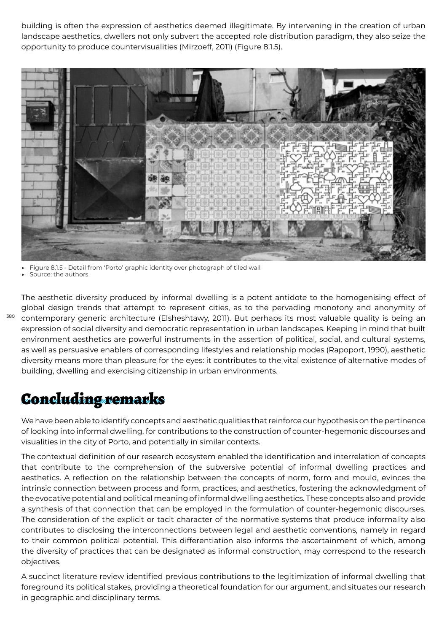building is often the expression of aesthetics deemed illegitimate. By intervening in the creation of urban landscape aesthetics, dwellers not only subvert the accepted role distribution paradigm, they also seize the opportunity to produce countervisualities (Mirzoeff, 2011) (Figure 8.1.5).



Figure 8.1.5 - Detail from 'Porto' graphic identity over photograph of tiled wall

Source: the authors

380

The aesthetic diversity produced by informal dwelling is a potent antidote to the homogenising effect of global design trends that attempt to represent cities, as to the pervading monotony and anonymity of contemporary generic architecture (Elsheshtawy, 2011). But perhaps its most valuable quality is being an expression of social diversity and democratic representation in urban landscapes. Keeping in mind that built environment aesthetics are powerful instruments in the assertion of political, social, and cultural systems, as well as persuasive enablers of corresponding lifestyles and relationship modes (Rapoport, 1990), aesthetic diversity means more than pleasure for the eyes: it contributes to the vital existence of alternative modes of building, dwelling and exercising citizenship in urban environments.

### Concluding remarks

We have been able to identify concepts and aesthetic qualities that reinforce our hypothesis on the pertinence of looking into informal dwelling, for contributions to the construction of counter-hegemonic discourses and visualities in the city of Porto, and potentially in similar contexts.

The contextual definition of our research ecosystem enabled the identification and interrelation of concepts that contribute to the comprehension of the subversive potential of informal dwelling practices and aesthetics. A reflection on the relationship between the concepts of norm, form and mould, evinces the intrinsic connection between process and form, practices, and aesthetics, fostering the acknowledgment of the evocative potential and political meaning of informal dwelling aesthetics. These concepts also and provide a synthesis of that connection that can be employed in the formulation of counter-hegemonic discourses. The consideration of the explicit or tacit character of the normative systems that produce informality also contributes to disclosing the interconnections between legal and aesthetic conventions, namely in regard to their common political potential. This differentiation also informs the ascertainment of which, among the diversity of practices that can be designated as informal construction, may correspond to the research objectives.

A succinct literature review identified previous contributions to the legitimization of informal dwelling that foreground its political stakes, providing a theoretical foundation for our argument, and situates our research in geographic and disciplinary terms.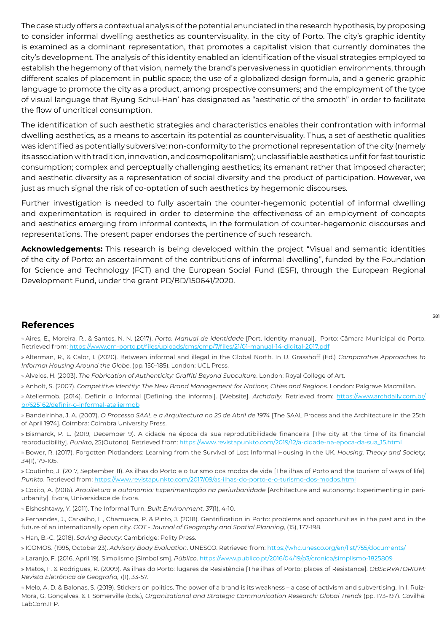The case study offers a contextual analysis of the potential enunciated in the research hypothesis, by proposing to consider informal dwelling aesthetics as countervisuality, in the city of Porto. The city's graphic identity is examined as a dominant representation, that promotes a capitalist vision that currently dominates the city's development. The analysis of this identity enabled an identification of the visual strategies employed to establish the hegemony of that vision, namely the brand's pervasiveness in quotidian environments, through different scales of placement in public space; the use of a globalized design formula, and a generic graphic language to promote the city as a product, among prospective consumers; and the employment of the type of visual language that Byung Schul-Han' has designated as "aesthetic of the smooth" in order to facilitate the flow of uncritical consumption.

The identification of such aesthetic strategies and characteristics enables their confrontation with informal dwelling aesthetics, as a means to ascertain its potential as countervisuality. Thus, a set of aesthetic qualities was identified as potentially subversive: non-conformity to the promotional representation of the city (namely its association with tradition, innovation, and cosmopolitanism); unclassifiable aesthetics unfit for fast touristic consumption; complex and perceptually challenging aesthetics; its emanant rather that imposed character; and aesthetic diversity as a representation of social diversity and the product of participation. However, we just as much signal the risk of co-optation of such aesthetics by hegemonic discourses.

Further investigation is needed to fully ascertain the counter-hegemonic potential of informal dwelling and experimentation is required in order to determine the effectiveness of an employment of concepts and aesthetics emerging from informal contexts, in the formulation of counter-hegemonic discourses and representations. The present paper endorses the pertinence of such research.

**Acknowledgements:** This research is being developed within the project "Visual and semantic identities of the city of Porto: an ascertainment of the contributions of informal dwelling", funded by the Foundation for Science and Technology (FCT) and the European Social Fund (ESF), through the European Regional Development Fund, under the grant PD/BD/150641/2020.

#### **References**

» Aires, E., Moreira, R., & Santos, N. N. (2017). *Porto. Manual de identidade* [Port. Identity manual]. Porto: Câmara Municipal do Porto. Retrieved from: https://www.cm-porto.pt/files/uploads/cms/cmp/7/files/21/01-manual-14-digital-2017.pdf

» Alterman, R., & Calor, I. (2020). Between informal and illegal in the Global North. In U. Grasshoff (Ed.) *Comparative Approaches to Informal Housing Around the Globe*. (pp. 150-185). London: UCL Press.

» Alvelos, H. (2003). *The Fabrication of Authenticity: Graffiti Beyond Subculture*. London: Royal College of Art.

» Anholt, S. (2007). *Comp*et*itive Identity: The New Brand Management for Nations, Cities and Regions*. London: Palgrave Macmillan.

» Ateliermob. (2014). Definir o Informal [Defining the informal]. [Website]. *Archdaily*. Retrieved from: https://www.archdaily.com.br/ br/625162/definir-o-informal-ateliermob

» Bandeirinha, J. A. (2007). *O Processo SAAL e a Arquitectura no 25 de Abril de 1974* [The SAAL Process and the Architecture in the 25th of April 1974]. Coimbra: Coimbra University Press.

» Bismarck, P. L. (2019, December 9). A cidade na época da sua reprodutibilidade financeira [The city at the time of its financial reproducibility]. *Punkto*, 25(Outono). Retrieved from: https://www.revistapunkto.com/2019/12/a-cidade-na-epoca-da-sua\_15.html

» Bower, R. (2017). Forgotten Plotlanders: Learning from the Survival of Lost Informal Housing in the UK. *Housing, Theory and Soci*et*y, 34*(1), 79-105.

» Coutinho, J. (2017, September 11). As ilhas do Porto e o turismo dos modos de vida [The ilhas of Porto and the tourism of ways of life]. *Punkto*. Retrieved from: https://www.revistapunkto.com/2017/09/as-ilhas-do-porto-e-o-turismo-dos-modos.html

» Coxito, A. (2016). *Arquit*et*ura e autonomia: Experimentação na periurbanidade* [Architecture and autonomy: Experimenting in periurbanity]. Évora, Universidade de Évora.

» Elsheshtawy, Y. (2011). The Informal Turn. *Built Environment, 37*(1), 4-10.

» Fernandes, J., Carvalho, L., Chamusca, P. & Pinto, J. (2018). Gentrification in Porto: problems and opportunities in the past and in the future of an internationally open city. *GOT - Journal of Geography and Spatial Planning,* (15), 177-198.

» Han, B.-C. (2018). *Saving Beauty*: Cambridge: Polity Press.

» ICOMOS. (1995, October 23). *Advisory Body Evaluation*. UNESCO. Retrieved from: https://whc.unesco.org/en/list/755/documents/

» Laranjo, F. (2016, April 19). Simplismo [Simbolism]. *Público*. https://www.publico.pt/2016/04/19/p3/cronica/simplismo-1825809

» Matos, F. & Rodrigues, R. (2009). As ilhas do Porto: lugares de Resistência [The ilhas of Porto: places of Resistance]. *OBSERVATORIUM: Revista El*et*rônica de Geografia, 1*(1), 33-57.

» Melo, A. D. & Balonas, S. (2019). Stickers on politics. The power of a brand is its weakness – a case of activism and subvertising. In I. Ruiz-Mora, G. Gonçalves, & I. Somerville (Eds.), *Organizational and Strategic Communication Research: Global Trends* (pp. 173-197). Covilhã: LabCom.IFP.